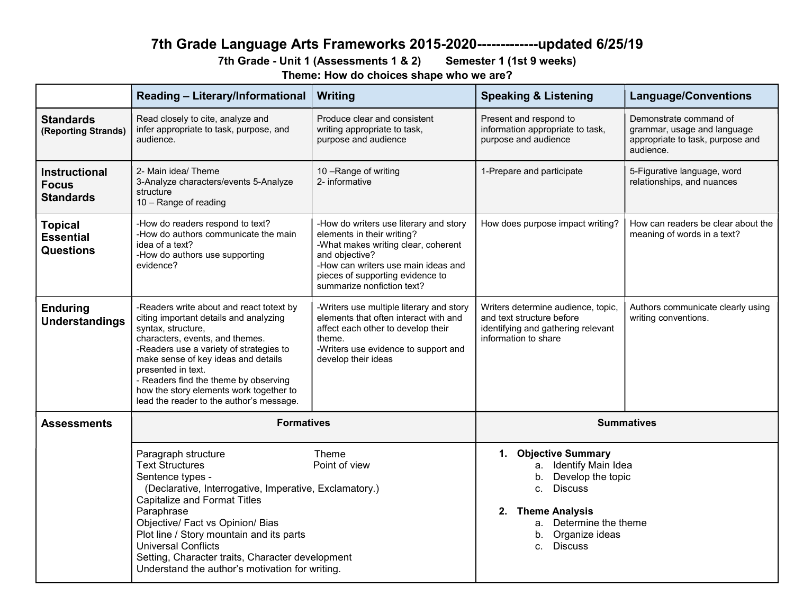# 7th Grade Language Arts Frameworks 2015-2020-------------updated 6/25/19

## 7th Grade - Unit 1 (Assessments 1 & 2) Semester 1 (1st 9 weeks)

Theme: How do choices shape who we are?

|                                                          | <b>Reading - Literary/Informational</b>                                                                                                                                                                                                                                                                                                                                                               | Writing                                                                                                                                                                                                                                | <b>Speaking &amp; Listening</b>                                                                                                                                                                                    | <b>Language/Conventions</b>                                                                            |
|----------------------------------------------------------|-------------------------------------------------------------------------------------------------------------------------------------------------------------------------------------------------------------------------------------------------------------------------------------------------------------------------------------------------------------------------------------------------------|----------------------------------------------------------------------------------------------------------------------------------------------------------------------------------------------------------------------------------------|--------------------------------------------------------------------------------------------------------------------------------------------------------------------------------------------------------------------|--------------------------------------------------------------------------------------------------------|
| <b>Standards</b><br>(Reporting Strands)                  | Read closely to cite, analyze and<br>infer appropriate to task, purpose, and<br>audience.                                                                                                                                                                                                                                                                                                             | Produce clear and consistent<br>writing appropriate to task,<br>purpose and audience                                                                                                                                                   | Present and respond to<br>information appropriate to task,<br>purpose and audience                                                                                                                                 | Demonstrate command of<br>grammar, usage and language<br>appropriate to task, purpose and<br>audience. |
| <b>Instructional</b><br><b>Focus</b><br><b>Standards</b> | 2- Main idea/ Theme<br>3-Analyze characters/events 5-Analyze<br>structure<br>10 - Range of reading                                                                                                                                                                                                                                                                                                    | 10 - Range of writing<br>2- informative                                                                                                                                                                                                | 1-Prepare and participate                                                                                                                                                                                          | 5-Figurative language, word<br>relationships, and nuances                                              |
| <b>Topical</b><br><b>Essential</b><br><b>Questions</b>   | -How do readers respond to text?<br>-How do authors communicate the main<br>idea of a text?<br>-How do authors use supporting<br>evidence?                                                                                                                                                                                                                                                            | -How do writers use literary and story<br>elements in their writing?<br>-What makes writing clear, coherent<br>and objective?<br>-How can writers use main ideas and<br>pieces of supporting evidence to<br>summarize nonfiction text? |                                                                                                                                                                                                                    | How can readers be clear about the<br>meaning of words in a text?                                      |
| <b>Enduring</b><br>Understandings                        | -Readers write about and react totext by<br>citing important details and analyzing<br>syntax, structure,<br>characters, events, and themes.<br>-Readers use a variety of strategies to<br>make sense of key ideas and details<br>presented in text.<br>- Readers find the theme by observing<br>how the story elements work together to<br>lead the reader to the author's message.                   | -Writers use multiple literary and story<br>elements that often interact with and<br>affect each other to develop their<br>theme.<br>-Writers use evidence to support and<br>develop their ideas                                       | Writers determine audience, topic,<br>and text structure before<br>identifying and gathering relevant<br>information to share                                                                                      | Authors communicate clearly using<br>writing conventions.                                              |
| <b>Assessments</b>                                       | <b>Formatives</b>                                                                                                                                                                                                                                                                                                                                                                                     |                                                                                                                                                                                                                                        | <b>Summatives</b>                                                                                                                                                                                                  |                                                                                                        |
|                                                          | Paragraph structure<br><b>Text Structures</b><br>Sentence types -<br>(Declarative, Interrogative, Imperative, Exclamatory.)<br><b>Capitalize and Format Titles</b><br>Paraphrase<br>Objective/ Fact vs Opinion/ Bias<br>Plot line / Story mountain and its parts<br><b>Universal Conflicts</b><br>Setting, Character traits, Character development<br>Understand the author's motivation for writing. | Theme<br>Point of view                                                                                                                                                                                                                 | 1. Objective Summary<br>a. Identify Main Idea<br>Develop the topic<br>b.<br><b>Discuss</b><br>$C_{\cdot}$<br><b>Theme Analysis</b><br>2.<br>a. Determine the theme<br>Organize ideas<br>b.<br><b>Discuss</b><br>C. |                                                                                                        |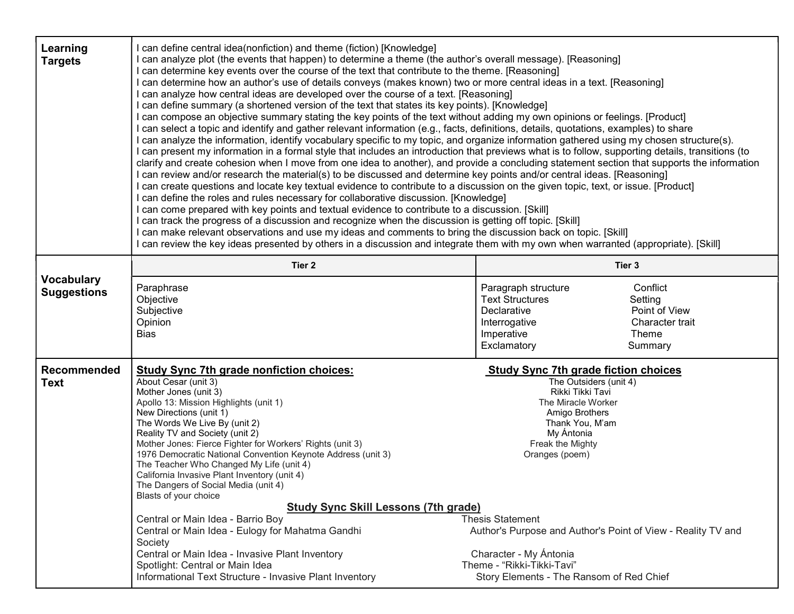| Learning<br><b>Targets</b>              | I can define central idea(nonfiction) and theme (fiction) [Knowledge]<br>can analyze plot (the events that happen) to determine a theme (the author's overall message). [Reasoning]<br>I can determine key events over the course of the text that contribute to the theme. [Reasoning]<br>I can determine how an author's use of details conveys (makes known) two or more central ideas in a text. [Reasoning]<br>I can analyze how central ideas are developed over the course of a text. [Reasoning]<br>I can define summary (a shortened version of the text that states its key points). [Knowledge]<br>I can compose an objective summary stating the key points of the text without adding my own opinions or feelings. [Product]<br>I can select a topic and identify and gather relevant information (e.g., facts, definitions, details, quotations, examples) to share<br>I can analyze the information, identify vocabulary specific to my topic, and organize information gathered using my chosen structure(s).<br>I can present my information in a formal style that includes an introduction that previews what is to follow, supporting details, transitions (to<br>clarify and create cohesion when I move from one idea to another), and provide a concluding statement section that supports the information<br>I can review and/or research the material(s) to be discussed and determine key points and/or central ideas. [Reasoning]<br>I can create questions and locate key textual evidence to contribute to a discussion on the given topic, text, or issue. [Product]<br>I can define the roles and rules necessary for collaborative discussion. [Knowledge]<br>I can come prepared with key points and textual evidence to contribute to a discussion. [Skill]<br>I can track the progress of a discussion and recognize when the discussion is getting off topic. [Skill]<br>I can make relevant observations and use my ideas and comments to bring the discussion back on topic. [Skill]<br>I can review the key ideas presented by others in a discussion and integrate them with my own when warranted (appropriate). [Skill] |                                                                                                                                                                                                                                                                                                                                                                                                         |                                  |
|-----------------------------------------|-------------------------------------------------------------------------------------------------------------------------------------------------------------------------------------------------------------------------------------------------------------------------------------------------------------------------------------------------------------------------------------------------------------------------------------------------------------------------------------------------------------------------------------------------------------------------------------------------------------------------------------------------------------------------------------------------------------------------------------------------------------------------------------------------------------------------------------------------------------------------------------------------------------------------------------------------------------------------------------------------------------------------------------------------------------------------------------------------------------------------------------------------------------------------------------------------------------------------------------------------------------------------------------------------------------------------------------------------------------------------------------------------------------------------------------------------------------------------------------------------------------------------------------------------------------------------------------------------------------------------------------------------------------------------------------------------------------------------------------------------------------------------------------------------------------------------------------------------------------------------------------------------------------------------------------------------------------------------------------------------------------------------------------------------------------------------------------------------------------------------------------------------------------------|---------------------------------------------------------------------------------------------------------------------------------------------------------------------------------------------------------------------------------------------------------------------------------------------------------------------------------------------------------------------------------------------------------|----------------------------------|
|                                         | Tier 2                                                                                                                                                                                                                                                                                                                                                                                                                                                                                                                                                                                                                                                                                                                                                                                                                                                                                                                                                                                                                                                                                                                                                                                                                                                                                                                                                                                                                                                                                                                                                                                                                                                                                                                                                                                                                                                                                                                                                                                                                                                                                                                                                            | Tier 3                                                                                                                                                                                                                                                                                                                                                                                                  |                                  |
| <b>Vocabulary</b><br><b>Suggestions</b> | Paraphrase<br>Objective<br>Subjective<br>Opinion<br><b>Bias</b>                                                                                                                                                                                                                                                                                                                                                                                                                                                                                                                                                                                                                                                                                                                                                                                                                                                                                                                                                                                                                                                                                                                                                                                                                                                                                                                                                                                                                                                                                                                                                                                                                                                                                                                                                                                                                                                                                                                                                                                                                                                                                                   | Conflict<br>Paragraph structure<br><b>Text Structures</b><br>Setting<br>Declarative<br>Interrogative<br>Imperative<br>Theme<br>Exclamatory<br>Summary                                                                                                                                                                                                                                                   | Point of View<br>Character trait |
| <b>Recommended</b><br><b>Text</b>       | <b>Study Sync 7th grade nonfiction choices:</b><br>About Cesar (unit 3)<br>Mother Jones (unit 3)<br>Apollo 13: Mission Highlights (unit 1)<br>New Directions (unit 1)<br>The Words We Live By (unit 2)<br>Reality TV and Society (unit 2)<br>Mother Jones: Fierce Fighter for Workers' Rights (unit 3)<br>1976 Democratic National Convention Keynote Address (unit 3)<br>The Teacher Who Changed My Life (unit 4)<br>California Invasive Plant Inventory (unit 4)<br>The Dangers of Social Media (unit 4)<br>Blasts of your choice<br><b>Study Sync Skill Lessons (7th grade)</b><br>Central or Main Idea - Barrio Boy<br>Central or Main Idea - Eulogy for Mahatma Gandhi<br>Society<br>Central or Main Idea - Invasive Plant Inventory<br>Spotlight: Central or Main Idea<br>Informational Text Structure - Invasive Plant Inventory                                                                                                                                                                                                                                                                                                                                                                                                                                                                                                                                                                                                                                                                                                                                                                                                                                                                                                                                                                                                                                                                                                                                                                                                                                                                                                                           | <b>Study Sync 7th grade fiction choices</b><br>The Outsiders (unit 4)<br>Rikki Tikki Tavi<br>The Miracle Worker<br>Amigo Brothers<br>Thank You, M'am<br>My Antonia<br>Freak the Mighty<br>Oranges (poem)<br><b>Thesis Statement</b><br>Author's Purpose and Author's Point of View - Reality TV and<br>Character - My Ántonia<br>Theme - "Rikki-Tikki-Tavi"<br>Story Elements - The Ransom of Red Chief |                                  |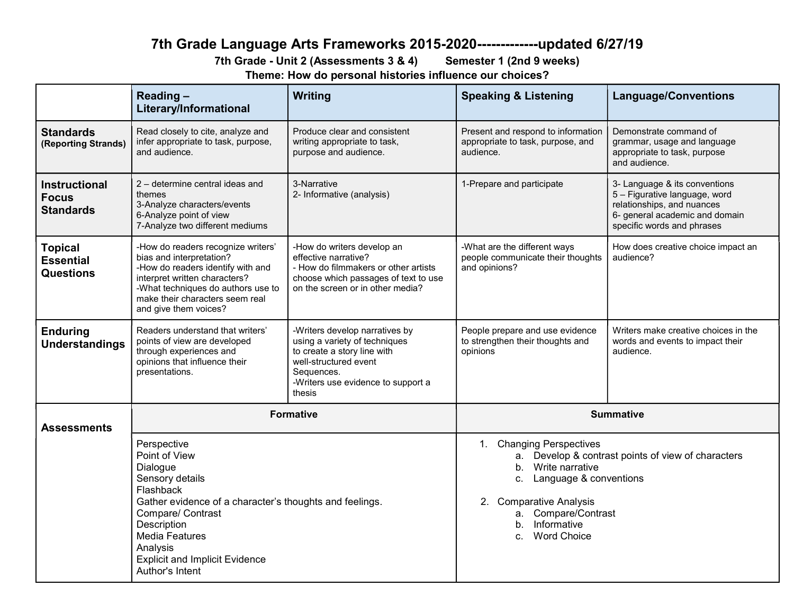# 7th Grade Language Arts Frameworks 2015-2020-------------updated 6/27/19

7th Grade - Unit 2 (Assessments 3 & 4) Semester 1 (2nd 9 weeks)

Theme: How do personal histories influence our choices?

|                                                          | Reading-<br>Literary/Informational                                                                                                                                                                                                                                       | Writing                                                                                                                                                                               | <b>Speaking &amp; Listening</b>                                                                                                                                                                                                                     | <b>Language/Conventions</b>                                                                                                                                  |
|----------------------------------------------------------|--------------------------------------------------------------------------------------------------------------------------------------------------------------------------------------------------------------------------------------------------------------------------|---------------------------------------------------------------------------------------------------------------------------------------------------------------------------------------|-----------------------------------------------------------------------------------------------------------------------------------------------------------------------------------------------------------------------------------------------------|--------------------------------------------------------------------------------------------------------------------------------------------------------------|
| <b>Standards</b><br>(Reporting Strands)                  | Read closely to cite, analyze and<br>infer appropriate to task, purpose,<br>and audience.                                                                                                                                                                                | Produce clear and consistent<br>writing appropriate to task,<br>purpose and audience.                                                                                                 | Present and respond to information<br>appropriate to task, purpose, and<br>audience.                                                                                                                                                                | Demonstrate command of<br>grammar, usage and language<br>appropriate to task, purpose<br>and audience.                                                       |
| <b>Instructional</b><br><b>Focus</b><br><b>Standards</b> | 2 – determine central ideas and<br>themes<br>3-Analyze characters/events<br>6-Analyze point of view<br>7-Analyze two different mediums                                                                                                                                   | 3-Narrative<br>2- Informative (analysis)                                                                                                                                              | 1-Prepare and participate                                                                                                                                                                                                                           | 3- Language & its conventions<br>5 - Figurative language, word<br>relationships, and nuances<br>6- general academic and domain<br>specific words and phrases |
| <b>Topical</b><br><b>Essential</b><br><b>Questions</b>   | -How do readers recognize writers'<br>bias and interpretation?<br>-How do readers identify with and<br>interpret written characters?<br>-What techniques do authors use to<br>make their characters seem real<br>and give them voices?                                   | -How do writers develop an<br>effective narrative?<br>- How do filmmakers or other artists<br>choose which passages of text to use<br>on the screen or in other media?                | -What are the different ways<br>people communicate their thoughts<br>and opinions?                                                                                                                                                                  | How does creative choice impact an<br>audience?                                                                                                              |
| <b>Enduring</b><br><b>Understandings</b>                 | Readers understand that writers'<br>points of view are developed<br>through experiences and<br>opinions that influence their<br>presentations.                                                                                                                           | -Writers develop narratives by<br>using a variety of techniques<br>to create a story line with<br>well-structured event<br>Sequences.<br>-Writers use evidence to support a<br>thesis | People prepare and use evidence<br>to strengthen their thoughts and<br>opinions                                                                                                                                                                     | Writers make creative choices in the<br>words and events to impact their<br>audience.                                                                        |
| <b>Assessments</b>                                       | <b>Formative</b>                                                                                                                                                                                                                                                         |                                                                                                                                                                                       | <b>Summative</b>                                                                                                                                                                                                                                    |                                                                                                                                                              |
|                                                          | Perspective<br>Point of View<br>Dialogue<br>Sensory details<br>Flashback<br>Gather evidence of a character's thoughts and feelings.<br>Compare/ Contrast<br>Description<br><b>Media Features</b><br>Analysis<br><b>Explicit and Implicit Evidence</b><br>Author's Intent |                                                                                                                                                                                       | 1. Changing Perspectives<br>a. Develop & contrast points of view of characters<br>Write narrative<br>b <sub>1</sub><br>Language & conventions<br>C.<br>2. Comparative Analysis<br>a. Compare/Contrast<br>b. Informative<br><b>Word Choice</b><br>C. |                                                                                                                                                              |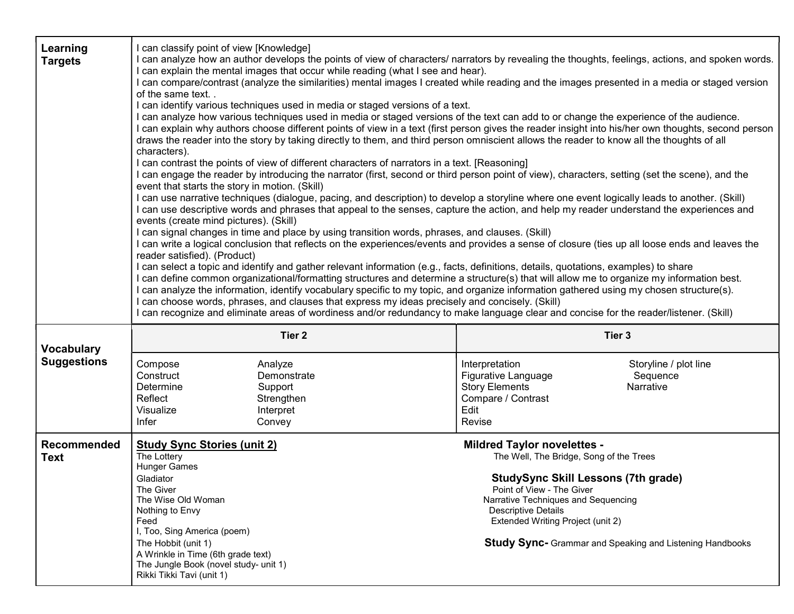| Learning<br><b>Targets</b>              | I can classify point of view [Knowledge]<br>can analyze how an author develops the points of view of characters/ narrators by revealing the thoughts, feelings, actions, and spoken words.<br>I can explain the mental images that occur while reading (what I see and hear).<br>I can compare/contrast (analyze the similarities) mental images I created while reading and the images presented in a media or staged version<br>of the same text. .<br>I can identify various techniques used in media or staged versions of a text.<br>I can analyze how various techniques used in media or staged versions of the text can add to or change the experience of the audience.<br>I can explain why authors choose different points of view in a text (first person gives the reader insight into his/her own thoughts, second person<br>draws the reader into the story by taking directly to them, and third person omniscient allows the reader to know all the thoughts of all<br>characters).<br>I can contrast the points of view of different characters of narrators in a text. [Reasoning]<br>I can engage the reader by introducing the narrator (first, second or third person point of view), characters, setting (set the scene), and the<br>event that starts the story in motion. (Skill)<br>I can use narrative techniques (dialogue, pacing, and description) to develop a storyline where one event logically leads to another. (Skill)<br>I can use descriptive words and phrases that appeal to the senses, capture the action, and help my reader understand the experiences and<br>events (create mind pictures). (Skill)<br>I can signal changes in time and place by using transition words, phrases, and clauses. (Skill)<br>I can write a logical conclusion that reflects on the experiences/events and provides a sense of closure (ties up all loose ends and leaves the<br>reader satisfied). (Product)<br>I can select a topic and identify and gather relevant information (e.g., facts, definitions, details, quotations, examples) to share<br>I can define common organizational/formatting structures and determine a structure(s) that will allow me to organize my information best.<br>l can analyze the information, identify vocabulary specific to my topic, and organize information gathered using my chosen structure(s).<br>can choose words, phrases, and clauses that express my ideas precisely and concisely. (Skill)<br>can recognize and eliminate areas of wordiness and/or redundancy to make language clear and concise for the reader/listener. (Skill) |                                                                                                                                                                                                                                                                                                 |  |
|-----------------------------------------|-------------------------------------------------------------------------------------------------------------------------------------------------------------------------------------------------------------------------------------------------------------------------------------------------------------------------------------------------------------------------------------------------------------------------------------------------------------------------------------------------------------------------------------------------------------------------------------------------------------------------------------------------------------------------------------------------------------------------------------------------------------------------------------------------------------------------------------------------------------------------------------------------------------------------------------------------------------------------------------------------------------------------------------------------------------------------------------------------------------------------------------------------------------------------------------------------------------------------------------------------------------------------------------------------------------------------------------------------------------------------------------------------------------------------------------------------------------------------------------------------------------------------------------------------------------------------------------------------------------------------------------------------------------------------------------------------------------------------------------------------------------------------------------------------------------------------------------------------------------------------------------------------------------------------------------------------------------------------------------------------------------------------------------------------------------------------------------------------------------------------------------------------------------------------------------------------------------------------------------------------------------------------------------------------------------------------------------------------------------------------------------------------------------------------------------------------------------------------------------------------------------------------------------------------------------------------------------------------------------------|-------------------------------------------------------------------------------------------------------------------------------------------------------------------------------------------------------------------------------------------------------------------------------------------------|--|
|                                         | Tier <sub>2</sub><br>Tier <sub>3</sub>                                                                                                                                                                                                                                                                                                                                                                                                                                                                                                                                                                                                                                                                                                                                                                                                                                                                                                                                                                                                                                                                                                                                                                                                                                                                                                                                                                                                                                                                                                                                                                                                                                                                                                                                                                                                                                                                                                                                                                                                                                                                                                                                                                                                                                                                                                                                                                                                                                                                                                                                                                            |                                                                                                                                                                                                                                                                                                 |  |
| <b>Vocabulary</b><br><b>Suggestions</b> | Compose<br>Analyze<br>Construct<br>Demonstrate<br>Determine<br>Support<br>Reflect<br>Strengthen<br>Visualize<br>Interpret<br>Infer<br>Convey                                                                                                                                                                                                                                                                                                                                                                                                                                                                                                                                                                                                                                                                                                                                                                                                                                                                                                                                                                                                                                                                                                                                                                                                                                                                                                                                                                                                                                                                                                                                                                                                                                                                                                                                                                                                                                                                                                                                                                                                                                                                                                                                                                                                                                                                                                                                                                                                                                                                      | Interpretation<br>Storyline / plot line<br>Sequence<br>Figurative Language<br><b>Story Elements</b><br>Narrative<br>Compare / Contrast<br>Edit<br>Revise                                                                                                                                        |  |
| <b>Recommended</b>                      | <b>Study Sync Stories (unit 2)</b><br><b>Mildred Taylor novelettes -</b>                                                                                                                                                                                                                                                                                                                                                                                                                                                                                                                                                                                                                                                                                                                                                                                                                                                                                                                                                                                                                                                                                                                                                                                                                                                                                                                                                                                                                                                                                                                                                                                                                                                                                                                                                                                                                                                                                                                                                                                                                                                                                                                                                                                                                                                                                                                                                                                                                                                                                                                                          |                                                                                                                                                                                                                                                                                                 |  |
| Text                                    | The Lottery<br><b>Hunger Games</b><br>Gladiator<br>The Giver<br>The Wise Old Woman<br>Nothing to Envy<br>Feed<br>I, Too, Sing America (poem)<br>The Hobbit (unit 1)<br>A Wrinkle in Time (6th grade text)<br>The Jungle Book (novel study- unit 1)<br>Rikki Tikki Tavi (unit 1)                                                                                                                                                                                                                                                                                                                                                                                                                                                                                                                                                                                                                                                                                                                                                                                                                                                                                                                                                                                                                                                                                                                                                                                                                                                                                                                                                                                                                                                                                                                                                                                                                                                                                                                                                                                                                                                                                                                                                                                                                                                                                                                                                                                                                                                                                                                                   | The Well, The Bridge, Song of the Trees<br><b>StudySync Skill Lessons (7th grade)</b><br>Point of View - The Giver<br>Narrative Techniques and Sequencing<br><b>Descriptive Details</b><br>Extended Writing Project (unit 2)<br><b>Study Sync-</b> Grammar and Speaking and Listening Handbooks |  |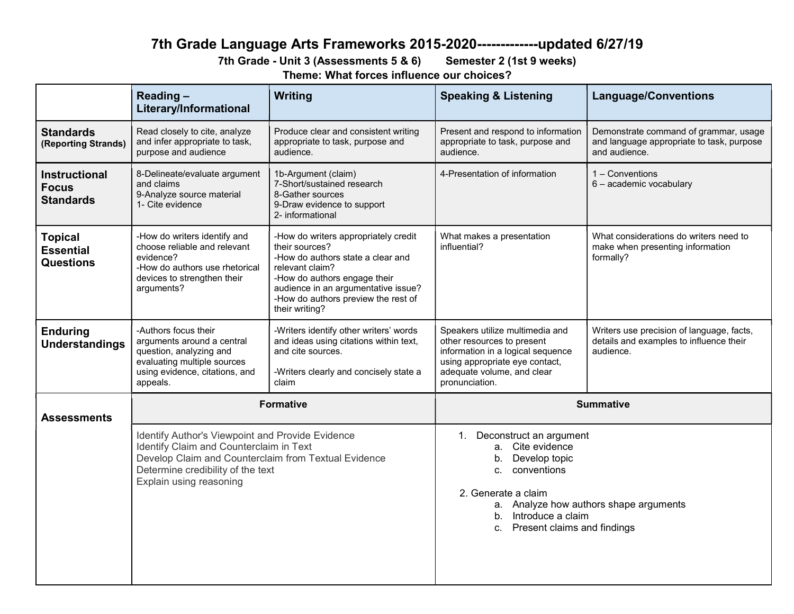# 7th Grade Language Arts Frameworks 2015-2020-------------updated 6/27/19

7th Grade - Unit 3 (Assessments 5 & 6) Semester 2 (1st 9 weeks)

Theme: What forces influence our choices?

|                                                          | Reading-<br>Literary/Informational                                                                                                                                                                                  | Writing                                                                                                                                                                                                                                        | <b>Speaking &amp; Listening</b>                                                                                                                                                                                                       | <b>Language/Conventions</b>                                                                         |  |
|----------------------------------------------------------|---------------------------------------------------------------------------------------------------------------------------------------------------------------------------------------------------------------------|------------------------------------------------------------------------------------------------------------------------------------------------------------------------------------------------------------------------------------------------|---------------------------------------------------------------------------------------------------------------------------------------------------------------------------------------------------------------------------------------|-----------------------------------------------------------------------------------------------------|--|
| <b>Standards</b><br>(Reporting Strands)                  | Read closely to cite, analyze<br>and infer appropriate to task,<br>purpose and audience                                                                                                                             | Produce clear and consistent writing<br>appropriate to task, purpose and<br>audience.                                                                                                                                                          | Present and respond to information<br>appropriate to task, purpose and<br>audience.                                                                                                                                                   | Demonstrate command of grammar, usage<br>and language appropriate to task, purpose<br>and audience. |  |
| <b>Instructional</b><br><b>Focus</b><br><b>Standards</b> | 8-Delineate/evaluate argument<br>and claims<br>9-Analyze source material<br>1- Cite evidence                                                                                                                        | 1b-Argument (claim)<br>7-Short/sustained research<br>8-Gather sources<br>9-Draw evidence to support<br>2- informational                                                                                                                        | 4-Presentation of information                                                                                                                                                                                                         | 1 - Conventions<br>6 - academic vocabulary                                                          |  |
| <b>Topical</b><br><b>Essential</b><br><b>Questions</b>   | -How do writers identify and<br>choose reliable and relevant<br>evidence?<br>-How do authors use rhetorical<br>devices to strengthen their<br>arguments?                                                            | -How do writers appropriately credit<br>their sources?<br>-How do authors state a clear and<br>relevant claim?<br>-How do authors engage their<br>audience in an argumentative issue?<br>-How do authors preview the rest of<br>their writing? | What makes a presentation<br>influential?                                                                                                                                                                                             | What considerations do writers need to<br>make when presenting information<br>formally?             |  |
| <b>Enduring</b><br><b>Understandings</b>                 | -Authors focus their<br>arguments around a central<br>question, analyzing and<br>evaluating multiple sources<br>using evidence, citations, and<br>appeals.                                                          | -Writers identify other writers' words<br>and ideas using citations within text,<br>and cite sources.<br>-Writers clearly and concisely state a<br>claim                                                                                       | Speakers utilize multimedia and<br>other resources to present<br>information in a logical sequence<br>using appropriate eye contact,<br>adequate volume, and clear<br>pronunciation.                                                  | Writers use precision of language, facts,<br>details and examples to influence their<br>audience.   |  |
| <b>Assessments</b>                                       |                                                                                                                                                                                                                     | <b>Formative</b>                                                                                                                                                                                                                               |                                                                                                                                                                                                                                       | <b>Summative</b>                                                                                    |  |
|                                                          | Identify Author's Viewpoint and Provide Evidence<br>Identify Claim and Counterclaim in Text<br>Develop Claim and Counterclaim from Textual Evidence<br>Determine credibility of the text<br>Explain using reasoning |                                                                                                                                                                                                                                                | 1. Deconstruct an argument<br>Cite evidence<br>a.<br>Develop topic<br>$b_{1}$<br>c. conventions<br>2. Generate a claim<br>a. Analyze how authors shape arguments<br>Introduce a claim<br>$b_{-}$<br>Present claims and findings<br>C. |                                                                                                     |  |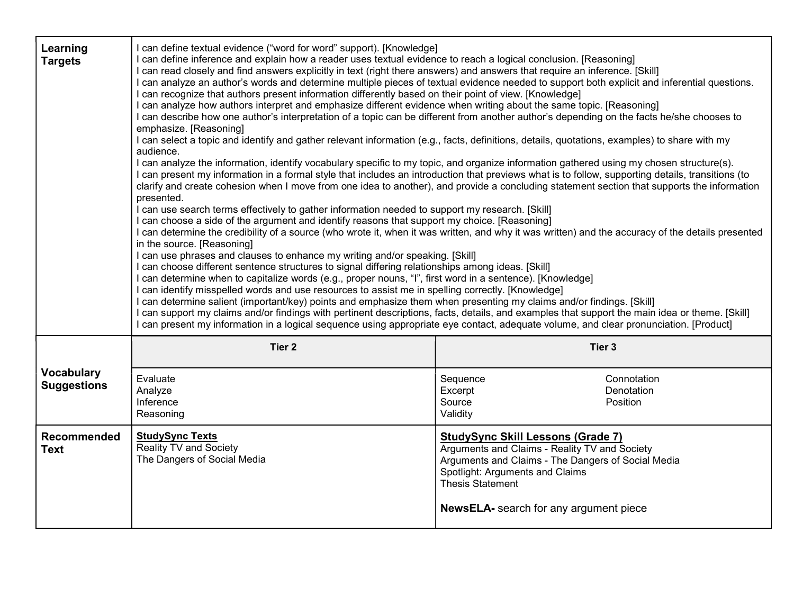| Learning<br><b>Targets</b>              | I can define textual evidence ("word for word" support). [Knowledge]<br>I can define inference and explain how a reader uses textual evidence to reach a logical conclusion. [Reasoning]<br>I can read closely and find answers explicitly in text (right there answers) and answers that require an inference. [Skill]<br>I can analyze an author's words and determine multiple pieces of textual evidence needed to support both explicit and inferential questions.<br>I can recognize that authors present information differently based on their point of view. [Knowledge]<br>I can analyze how authors interpret and emphasize different evidence when writing about the same topic. [Reasoning]<br>I can describe how one author's interpretation of a topic can be different from another author's depending on the facts he/she chooses to<br>emphasize. [Reasoning]<br>I can select a topic and identify and gather relevant information (e.g., facts, definitions, details, quotations, examples) to share with my<br>audience.<br>I can analyze the information, identify vocabulary specific to my topic, and organize information gathered using my chosen structure(s).<br>I can present my information in a formal style that includes an introduction that previews what is to follow, supporting details, transitions (to<br>clarify and create cohesion when I move from one idea to another), and provide a concluding statement section that supports the information<br>presented.<br>I can use search terms effectively to gather information needed to support my research. [Skill]<br>I can choose a side of the argument and identify reasons that support my choice. [Reasoning]<br>I can determine the credibility of a source (who wrote it, when it was written, and why it was written) and the accuracy of the details presented<br>in the source. [Reasoning]<br>I can use phrases and clauses to enhance my writing and/or speaking. [Skill]<br>I can choose different sentence structures to signal differing relationships among ideas. [Skill]<br>l can determine when to capitalize words (e.g., proper nouns, "I", first word in a sentence). [Knowledge]<br>I can identify misspelled words and use resources to assist me in spelling correctly. [Knowledge]<br>I can determine salient (important/key) points and emphasize them when presenting my claims and/or findings. [Skill]<br>I can support my claims and/or findings with pertinent descriptions, facts, details, and examples that support the main idea or theme. [Skill] |                                                                                                                                                                                                                                                                |                                       |
|-----------------------------------------|-----------------------------------------------------------------------------------------------------------------------------------------------------------------------------------------------------------------------------------------------------------------------------------------------------------------------------------------------------------------------------------------------------------------------------------------------------------------------------------------------------------------------------------------------------------------------------------------------------------------------------------------------------------------------------------------------------------------------------------------------------------------------------------------------------------------------------------------------------------------------------------------------------------------------------------------------------------------------------------------------------------------------------------------------------------------------------------------------------------------------------------------------------------------------------------------------------------------------------------------------------------------------------------------------------------------------------------------------------------------------------------------------------------------------------------------------------------------------------------------------------------------------------------------------------------------------------------------------------------------------------------------------------------------------------------------------------------------------------------------------------------------------------------------------------------------------------------------------------------------------------------------------------------------------------------------------------------------------------------------------------------------------------------------------------------------------------------------------------------------------------------------------------------------------------------------------------------------------------------------------------------------------------------------------------------------------------------------------------------------------------------------------------------------------------------------------------------------------------------------------------------------------------------------------------------------------------------|----------------------------------------------------------------------------------------------------------------------------------------------------------------------------------------------------------------------------------------------------------------|---------------------------------------|
|                                         | Tier <sub>2</sub><br>Tier 3                                                                                                                                                                                                                                                                                                                                                                                                                                                                                                                                                                                                                                                                                                                                                                                                                                                                                                                                                                                                                                                                                                                                                                                                                                                                                                                                                                                                                                                                                                                                                                                                                                                                                                                                                                                                                                                                                                                                                                                                                                                                                                                                                                                                                                                                                                                                                                                                                                                                                                                                                       |                                                                                                                                                                                                                                                                |                                       |
| <b>Vocabulary</b><br><b>Suggestions</b> | Evaluate<br>Analyze<br>Inference<br>Reasoning                                                                                                                                                                                                                                                                                                                                                                                                                                                                                                                                                                                                                                                                                                                                                                                                                                                                                                                                                                                                                                                                                                                                                                                                                                                                                                                                                                                                                                                                                                                                                                                                                                                                                                                                                                                                                                                                                                                                                                                                                                                                                                                                                                                                                                                                                                                                                                                                                                                                                                                                     | Sequence<br>Excerpt<br>Source<br>Validity                                                                                                                                                                                                                      | Connotation<br>Denotation<br>Position |
| <b>Recommended</b><br><b>Text</b>       | <b>StudySync Texts</b><br><b>Reality TV and Society</b><br>The Dangers of Social Media                                                                                                                                                                                                                                                                                                                                                                                                                                                                                                                                                                                                                                                                                                                                                                                                                                                                                                                                                                                                                                                                                                                                                                                                                                                                                                                                                                                                                                                                                                                                                                                                                                                                                                                                                                                                                                                                                                                                                                                                                                                                                                                                                                                                                                                                                                                                                                                                                                                                                            | <b>StudySync Skill Lessons (Grade 7)</b><br>Arguments and Claims - Reality TV and Society<br>Arguments and Claims - The Dangers of Social Media<br>Spotlight: Arguments and Claims<br><b>Thesis Statement</b><br><b>NewsELA-</b> search for any argument piece |                                       |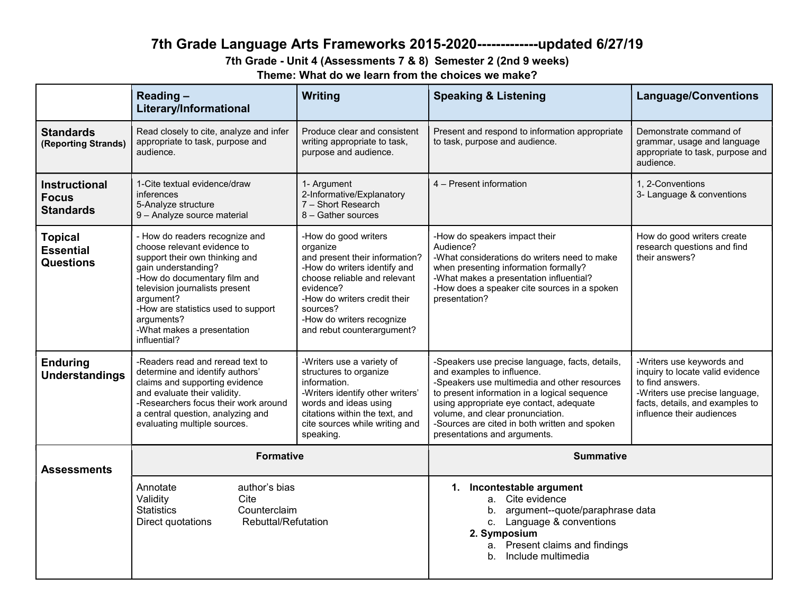# 7th Grade Language Arts Frameworks 2015-2020-------------updated 6/27/19

7th Grade - Unit 4 (Assessments 7 & 8) Semester 2 (2nd 9 weeks)

Theme: What do we learn from the choices we make?

|                                                          | Reading-<br>Literary/Informational                                                                                                                                                                                                                                                                       | Writing                                                                                                                                                                                                                                                | <b>Speaking &amp; Listening</b>                                                                                                                                                                                                                                                                                                               | <b>Language/Conventions</b>                                                                                                                                                         |
|----------------------------------------------------------|----------------------------------------------------------------------------------------------------------------------------------------------------------------------------------------------------------------------------------------------------------------------------------------------------------|--------------------------------------------------------------------------------------------------------------------------------------------------------------------------------------------------------------------------------------------------------|-----------------------------------------------------------------------------------------------------------------------------------------------------------------------------------------------------------------------------------------------------------------------------------------------------------------------------------------------|-------------------------------------------------------------------------------------------------------------------------------------------------------------------------------------|
| <b>Standards</b><br>(Reporting Strands)                  | Read closely to cite, analyze and infer<br>appropriate to task, purpose and<br>audience.                                                                                                                                                                                                                 | Produce clear and consistent<br>writing appropriate to task,<br>purpose and audience.                                                                                                                                                                  | Present and respond to information appropriate<br>to task, purpose and audience.                                                                                                                                                                                                                                                              | Demonstrate command of<br>grammar, usage and language<br>appropriate to task, purpose and<br>audience.                                                                              |
| <b>Instructional</b><br><b>Focus</b><br><b>Standards</b> | 1-Cite textual evidence/draw<br>inferences<br>5-Analyze structure<br>9 - Analyze source material                                                                                                                                                                                                         | 1- Argument<br>2-Informative/Explanatory<br>7 - Short Research<br>8 - Gather sources                                                                                                                                                                   | 4 - Present information                                                                                                                                                                                                                                                                                                                       | 1. 2-Conventions<br>3- Language & conventions                                                                                                                                       |
| <b>Topical</b><br><b>Essential</b><br><b>Questions</b>   | - How do readers recognize and<br>choose relevant evidence to<br>support their own thinking and<br>gain understanding?<br>-How do documentary film and<br>television journalists present<br>argument?<br>-How are statistics used to support<br>arguments?<br>-What makes a presentation<br>influential? | -How do good writers<br>organize<br>and present their information?<br>-How do writers identify and<br>choose reliable and relevant<br>evidence?<br>-How do writers credit their<br>sources?<br>-How do writers recognize<br>and rebut counterargument? | -How do speakers impact their<br>Audience?<br>-What considerations do writers need to make<br>when presenting information formally?<br>-What makes a presentation influential?<br>-How does a speaker cite sources in a spoken<br>presentation?                                                                                               | How do good writers create<br>research questions and find<br>their answers?                                                                                                         |
| <b>Enduring</b><br><b>Understandings</b>                 | -Readers read and reread text to<br>determine and identify authors'<br>claims and supporting evidence<br>and evaluate their validity.<br>-Researchers focus their work around<br>a central question, analyzing and<br>evaluating multiple sources.                                                       | -Writers use a variety of<br>structures to organize<br>information.<br>-Writers identify other writers'<br>words and ideas using<br>citations within the text, and<br>cite sources while writing and<br>speaking.                                      | -Speakers use precise language, facts, details,<br>and examples to influence.<br>-Speakers use multimedia and other resources<br>to present information in a logical sequence<br>using appropriate eye contact, adequate<br>volume, and clear pronunciation.<br>-Sources are cited in both written and spoken<br>presentations and arguments. | -Writers use keywords and<br>inquiry to locate valid evidence<br>to find answers.<br>-Writers use precise language,<br>facts, details, and examples to<br>influence their audiences |
| <b>Assessments</b>                                       | <b>Formative</b>                                                                                                                                                                                                                                                                                         |                                                                                                                                                                                                                                                        | <b>Summative</b>                                                                                                                                                                                                                                                                                                                              |                                                                                                                                                                                     |
|                                                          | author's bias<br>Annotate<br>Validity<br>Cite<br><b>Statistics</b><br>Counterclaim<br><b>Rebuttal/Refutation</b><br>Direct quotations                                                                                                                                                                    |                                                                                                                                                                                                                                                        | 1. Incontestable argument<br>a. Cite evidence<br>argument--quote/paraphrase data<br>b.<br>c. Language & conventions<br>2. Symposium<br>a. Present claims and findings<br>Include multimedia<br>b.                                                                                                                                             |                                                                                                                                                                                     |